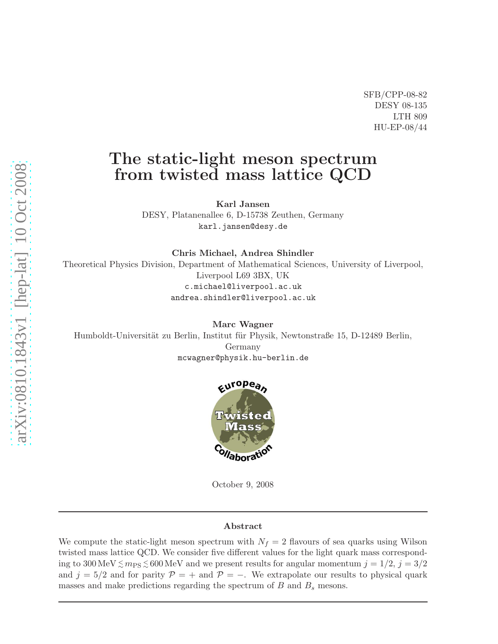SFB/CPP-08-82 DESY 08-135 LTH 809 HU-EP-08/44

# The static-light meson spectrum from twisted mass lattice QCD

Karl Jansen

DESY, Platanenallee 6, D-15738 Zeuthen, Germany karl.jansen@desy.de

Chris Michael, Andrea Shindler

Theoretical Physics Division, Department of Mathematical Sciences, University of Liverpool, Liverpool L69 3BX, UK c.michael@liverpool.ac.uk andrea.shindler@liverpool.ac.uk

Marc Wagner Humboldt-Universität zu Berlin, Institut für Physik, Newtonstraße 15, D-12489 Berlin, Germany mcwagner@physik.hu-berlin.de



October 9, 2008

#### Abstract

We compute the static-light meson spectrum with  $N_f = 2$  flavours of sea quarks using Wilson twisted mass lattice QCD. We consider five different values for the light quark mass corresponding to  $300 \,\text{MeV} \lesssim m_\text{PS} \lesssim 600 \,\text{MeV}$  and we present results for angular momentum  $j = 1/2, j = 3/2$ and  $j = 5/2$  and for parity  $P = +$  and  $P = -$ . We extrapolate our results to physical quark masses and make predictions regarding the spectrum of  $B$  and  $B<sub>s</sub>$  mesons.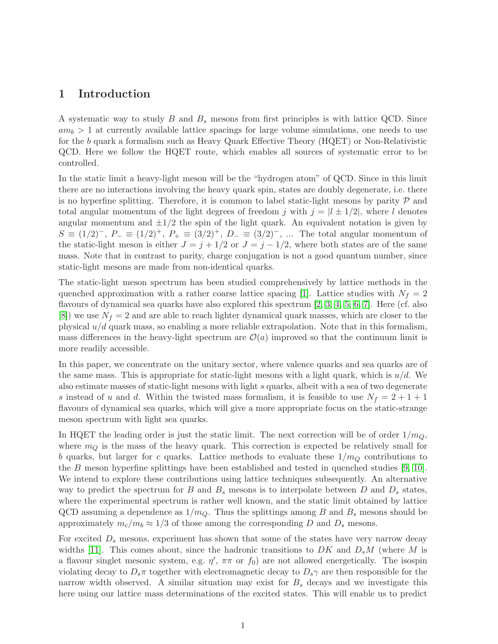### 1 Introduction

A systematic way to study  $B$  and  $B<sub>s</sub>$  mesons from first principles is with lattice QCD. Since  $am_b > 1$  at currently available lattice spacings for large volume simulations, one needs to use for the b quark a formalism such as Heavy Quark Effective Theory (HQET) or Non-Relativistic QCD. Here we follow the HQET route, which enables all sources of systematic error to be controlled.

In the static limit a heavy-light meson will be the "hydrogen atom" of QCD. Since in this limit there are no interactions involving the heavy quark spin, states are doubly degenerate, i.e. there is no hyperfine splitting. Therefore, it is common to label static-light mesons by parity  $P$  and total angular momentum of the light degrees of freedom j with  $j = |l \pm 1/2|$ , where l denotes angular momentum and  $\pm 1/2$  the spin of the light quark. An equivalent notation is given by  $S \equiv (1/2)^{-}$ ,  $P_{-} \equiv (1/2)^{+}$ ,  $P_{+} \equiv (3/2)^{+}$ ,  $D_{-} \equiv (3/2)^{-}$ , ... The total angular momentum of the static-light meson is either  $J = j + 1/2$  or  $J = j - 1/2$ , where both states are of the same mass. Note that in contrast to parity, charge conjugation is not a good quantum number, since static-light mesons are made from non-identical quarks.

The static-light meson spectrum has been studied comprehensively by lattice methods in the quenched approximation with a rather coarse lattice spacing [\[1\]](#page-18-0). Lattice studies with  $N_f = 2$ flavours of dynamical sea quarks have also explored this spectrum [\[2,](#page-18-1) [3,](#page-18-2) [4,](#page-18-3) [5,](#page-18-4) [6,](#page-18-5) [7\]](#page-18-6). Here (cf. also  $[8]$ ) we use  $N_f = 2$  and are able to reach lighter dynamical quark masses, which are closer to the physical  $u/d$  quark mass, so enabling a more reliable extrapolation. Note that in this formalism, mass differences in the heavy-light spectrum are  $\mathcal{O}(a)$  improved so that the continuum limit is more readily accessible.

In this paper, we concentrate on the unitary sector, where valence quarks and sea quarks are of the same mass. This is appropriate for static-light mesons with a light quark, which is  $u/d$ . We also estimate masses of static-light mesons with light s quarks, albeit with a sea of two degenerate s instead of u and d. Within the twisted mass formalism, it is feasible to use  $N_f = 2 + 1 + 1$ flavours of dynamical sea quarks, which will give a more appropriate focus on the static-strange meson spectrum with light sea quarks.

In HQET the leading order is just the static limit. The next correction will be of order  $1/m_Q$ , where  $m_Q$  is the mass of the heavy quark. This correction is expected be relatively small for b quarks, but larger for c quarks. Lattice methods to evaluate these  $1/m<sub>O</sub>$  contributions to the B meson hyperfine splittings have been established and tested in quenched studies [\[9,](#page-18-8) [10\]](#page-18-9). We intend to explore these contributions using lattice techniques subsequently. An alternative way to predict the spectrum for B and  $B_s$  mesons is to interpolate between D and  $D_s$  states, where the experimental spectrum is rather well known, and the static limit obtained by lattice QCD assuming a dependence as  $1/m_Q$ . Thus the splittings among B and  $B_s$  mesons should be approximately  $m_c/m_b \approx 1/3$  of those among the corresponding D and  $D_s$  mesons.

For excited  $D_s$  mesons, experiment has shown that some of the states have very narrow decay widths [\[11\]](#page-18-10). This comes about, since the hadronic transitions to  $DK$  and  $D_sM$  (where M is a flavour singlet mesonic system, e.g.  $\eta'$ ,  $\pi\pi$  or  $f_0$ ) are not allowed energetically. The isospin violating decay to  $D_s\pi$  together with electromagnetic decay to  $D_s\gamma$  are then responsible for the narrow width observed. A similar situation may exist for  $B<sub>s</sub>$  decays and we investigate this here using our lattice mass determinations of the excited states. This will enable us to predict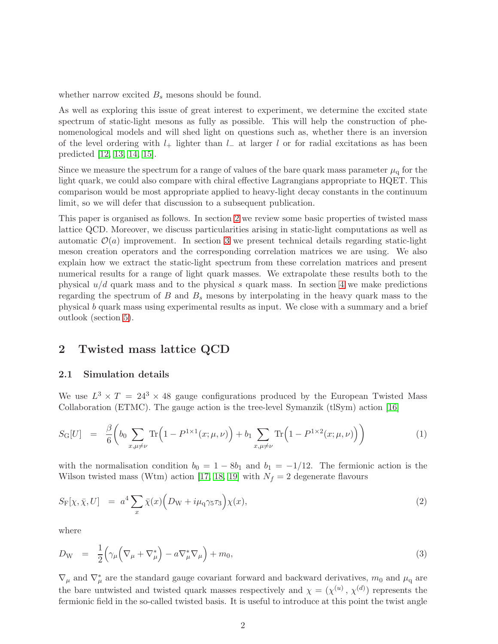whether narrow excited  $B_s$  mesons should be found.

As well as exploring this issue of great interest to experiment, we determine the excited state spectrum of static-light mesons as fully as possible. This will help the construction of phenomenological models and will shed light on questions such as, whether there is an inversion of the level ordering with  $l_+$  lighter than  $l_-\$  at larger l or for radial excitations as has been predicted [\[12,](#page-18-11) [13,](#page-18-12) [14,](#page-19-0) [15\]](#page-19-1).

Since we measure the spectrum for a range of values of the bare quark mass parameter  $\mu_q$  for the light quark, we could also compare with chiral effective Lagrangians appropriate to HQET. This comparison would be most appropriate applied to heavy-light decay constants in the continuum limit, so we will defer that discussion to a subsequent publication.

This paper is organised as follows. In section [2](#page-2-0) we review some basic properties of twisted mass lattice QCD. Moreover, we discuss particularities arising in static-light computations as well as automatic  $\mathcal{O}(a)$  improvement. In section [3](#page-7-0) we present technical details regarding static-light meson creation operators and the corresponding correlation matrices we are using. We also explain how we extract the static-light spectrum from these correlation matrices and present numerical results for a range of light quark masses. We extrapolate these results both to the physical  $u/d$  quark mass and to the physical s quark mass. In section [4](#page-14-0) we make predictions regarding the spectrum of  $B$  and  $B_s$  mesons by interpolating in the heavy quark mass to the physical b quark mass using experimental results as input. We close with a summary and a brief outlook (section [5\)](#page-17-0).

### <span id="page-2-0"></span>2 Twisted mass lattice QCD

#### 2.1 Simulation details

We use  $L^3 \times T = 24^3 \times 48$  gauge configurations produced by the European Twisted Mass Collaboration (ETMC). The gauge action is the tree-level Symanzik (tlSym) action [\[16\]](#page-19-2)

$$
S_{\rm G}[U] = \frac{\beta}{6} \bigg( b_0 \sum_{x,\mu \neq \nu} \text{Tr} \Big( 1 - P^{1 \times 1}(x; \mu, \nu) \Big) + b_1 \sum_{x,\mu \neq \nu} \text{Tr} \Big( 1 - P^{1 \times 2}(x; \mu, \nu) \Big) \bigg) \tag{1}
$$

with the normalisation condition  $b_0 = 1 - 8b_1$  and  $b_1 = -1/12$ . The fermionic action is the Wilson twisted mass (Wtm) action [\[17,](#page-19-3) [18,](#page-19-4) [19\]](#page-19-5) with  $N_f = 2$  degenerate flavours

<span id="page-2-1"></span>
$$
S_{\mathcal{F}}[\chi, \bar{\chi}, U] = a^4 \sum_{x} \bar{\chi}(x) \Big( D_{\mathcal{W}} + i \mu_{\mathcal{q}} \gamma_5 \tau_3 \Big) \chi(x), \tag{2}
$$

where

$$
D_{\rm W} = \frac{1}{2} \left( \gamma_{\mu} \left( \nabla_{\mu} + \nabla_{\mu}^{*} \right) - a \nabla_{\mu}^{*} \nabla_{\mu} \right) + m_{0}, \qquad (3)
$$

 $\nabla_{\mu}$  and  $\nabla_{\mu}^{*}$  are the standard gauge covariant forward and backward derivatives,  $m_0$  and  $\mu_q$  are the bare untwisted and twisted quark masses respectively and  $\chi = (\chi^{(u)}, \chi^{(d)})$  represents the fermionic field in the so-called twisted basis. It is useful to introduce at this point the twist angle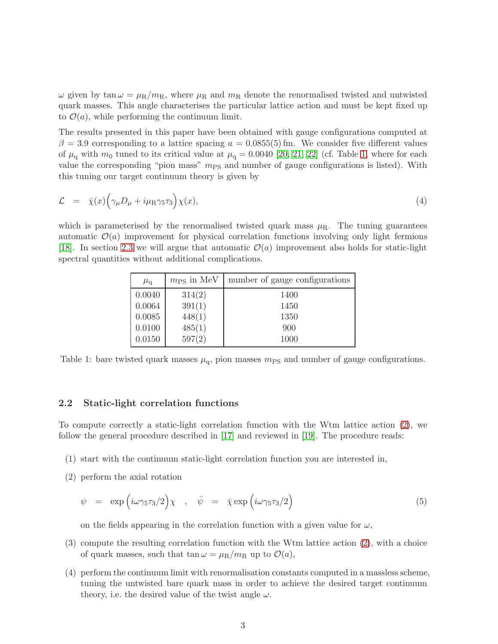$\omega$  given by tan  $\omega = \mu_R/m_R$ , where  $\mu_R$  and  $m_R$  denote the renormalised twisted and untwisted quark masses. This angle characterises the particular lattice action and must be kept fixed up to  $\mathcal{O}(a)$ , while performing the continuum limit.

The results presented in this paper have been obtained with gauge configurations computed at  $\beta = 3.9$  corresponding to a lattice spacing  $a = 0.0855(5)$  fm. We consider five different values of  $\mu_q$  with  $m_0$  tuned to its critical value at  $\mu_q = 0.0040$  [\[20,](#page-19-6) [21,](#page-19-7) [22\]](#page-19-8) (cf. Table [1,](#page-3-0) where for each value the corresponding "pion mass"  $m_{\rm PS}$  and number of gauge configurations is listed). With this tuning our target continuum theory is given by

$$
\mathcal{L} = \bar{\chi}(x) \Big( \gamma_{\mu} D_{\mu} + i \mu_{\rm R} \gamma_5 \tau_3 \Big) \chi(x), \tag{4}
$$

which is parameterised by the renormalised twisted quark mass  $\mu_R$ . The tuning guarantees automatic  $\mathcal{O}(a)$  improvement for physical correlation functions involving only light fermions [\[18\]](#page-19-4). In section [2.3](#page-4-0) we will argue that automatic  $\mathcal{O}(a)$  improvement also holds for static-light spectral quantities without additional complications.

| $\mu_{\rm q}$ | $m_{\rm PS}$ in MeV | number of gauge configurations |
|---------------|---------------------|--------------------------------|
| 0.0040        | 314(2)              | 1400                           |
| 0.0064        | 391(1)              | 1450                           |
| 0.0085        | 448(1)              | 1350                           |
| 0.0100        | 485(1)              | 900                            |
| 0.0150        | 597(2)              | 1000                           |

<span id="page-3-0"></span>Table 1: bare twisted quark masses  $\mu_{q}$ , pion masses  $m_{PS}$  and number of gauge configurations.

#### 2.2 Static-light correlation functions

To compute correctly a static-light correlation function with the Wtm lattice action [\(2\)](#page-2-1), we follow the general procedure described in [\[17\]](#page-19-3) and reviewed in [\[19\]](#page-19-5). The procedure reads:

- (1) start with the continuum static-light correlation function you are interested in,
- (2) perform the axial rotation

<span id="page-3-1"></span>
$$
\psi = \exp\left(i\omega\gamma_5\tau_3/2\right)\chi \quad , \quad \bar{\psi} = \bar{\chi}\exp\left(i\omega\gamma_5\tau_3/2\right) \tag{5}
$$

on the fields appearing in the correlation function with a given value for  $\omega$ ,

- (3) compute the resulting correlation function with the Wtm lattice action [\(2\)](#page-2-1), with a choice of quark masses, such that  $\tan \omega = \mu_R/m_R$  up to  $\mathcal{O}(a)$ ,
- (4) perform the continuum limit with renormalisation constants computed in a massless scheme, tuning the untwisted bare quark mass in order to achieve the desired target continuum theory, i.e. the desired value of the twist angle  $\omega$ .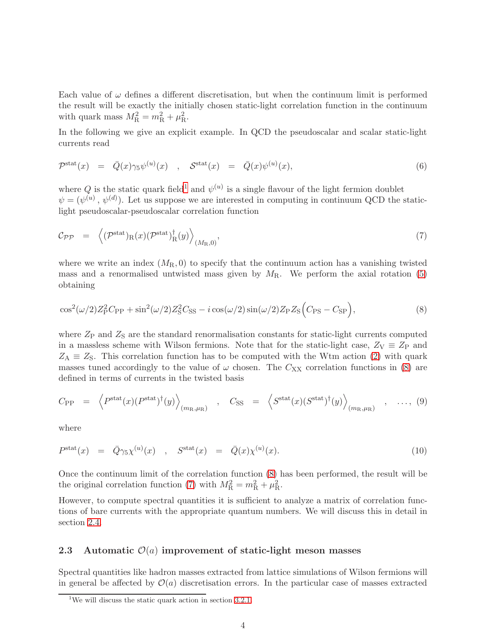Each value of  $\omega$  defines a different discretisation, but when the continuum limit is performed the result will be exactly the initially chosen static-light correlation function in the continuum with quark mass  $M_{\rm R}^2 = m_{\rm R}^2 + \mu_{\rm R}^2$ .

In the following we give an explicit example. In QCD the pseudoscalar and scalar static-light currents read

$$
\mathcal{P}^{\text{stat}}(x) = \bar{Q}(x)\gamma_5\psi^{(u)}(x) , \quad \mathcal{S}^{\text{stat}}(x) = \bar{Q}(x)\psi^{(u)}(x), \tag{6}
$$

where Q is the static quark field<sup>[1](#page-4-1)</sup> and  $\psi^{(u)}$  is a single flavour of the light fermion doublet  $\psi = (\psi^{(u)}, \psi^{(d)})$ . Let us suppose we are interested in computing in continuum QCD the staticlight pseudoscalar-pseudoscalar correlation function

<span id="page-4-3"></span>
$$
\mathcal{C}_{\mathcal{PP}} = \left\langle (\mathcal{P}^{\text{stat}})_{\text{R}}(x) (\mathcal{P}^{\text{stat}})_{\text{R}}^{\dagger}(y) \right\rangle_{(M_{\text{R}},0)},\tag{7}
$$

where we write an index  $(M_R, 0)$  to specify that the continuum action has a vanishing twisted mass and a renormalised untwisted mass given by  $M_{\rm R}$ . We perform the axial rotation [\(5\)](#page-3-1) obtaining

<span id="page-4-2"></span>
$$
\cos^2(\omega/2)Z_P^2 C_{\rm PP} + \sin^2(\omega/2)Z_S^2 C_{\rm SS} - i\cos(\omega/2)\sin(\omega/2)Z_P Z_{\rm S}\Big(C_{\rm PS} - C_{\rm SP}\Big),\tag{8}
$$

where  $Z_{\rm P}$  and  $Z_{\rm S}$  are the standard renormalisation constants for static-light currents computed in a massless scheme with Wilson fermions. Note that for the static-light case,  $Z_V \equiv Z_P$  and  $Z_A \equiv Z_S$ . This correlation function has to be computed with the Wtm action [\(2\)](#page-2-1) with quark masses tuned accordingly to the value of  $\omega$  chosen. The  $C_{XX}$  correlation functions in [\(8\)](#page-4-2) are defined in terms of currents in the twisted basis

$$
C_{\rm PP} = \left\langle P^{\rm stat}(x) (P^{\rm stat})^{\dagger}(y) \right\rangle_{(m_{\rm R}, \mu_{\rm R})} , C_{\rm SS} = \left\langle S^{\rm stat}(x) (S^{\rm stat})^{\dagger}(y) \right\rangle_{(m_{\rm R}, \mu_{\rm R})} , ..., (9)
$$

where

$$
P^{\text{stat}}(x) = \bar{Q}\gamma_5 \chi^{(u)}(x) , S^{\text{stat}}(x) = \bar{Q}(x) \chi^{(u)}(x). \tag{10}
$$

Once the continuum limit of the correlation function [\(8\)](#page-4-2) has been performed, the result will be the original correlation function [\(7\)](#page-4-3) with  $M_{\rm R}^2 = m_{\rm R}^2 + \mu_{\rm R}^2$ .

However, to compute spectral quantities it is sufficient to analyze a matrix of correlation functions of bare currents with the appropriate quantum numbers. We will discuss this in detail in section [2.4.](#page-5-0)

#### <span id="page-4-0"></span>2.3 Automatic  $\mathcal{O}(a)$  improvement of static-light meson masses

Spectral quantities like hadron masses extracted from lattice simulations of Wilson fermions will in general be affected by  $\mathcal{O}(a)$  discretisation errors. In the particular case of masses extracted

<span id="page-4-1"></span><sup>&</sup>lt;sup>1</sup>We will discuss the static quark action in section  $3.2.1$ .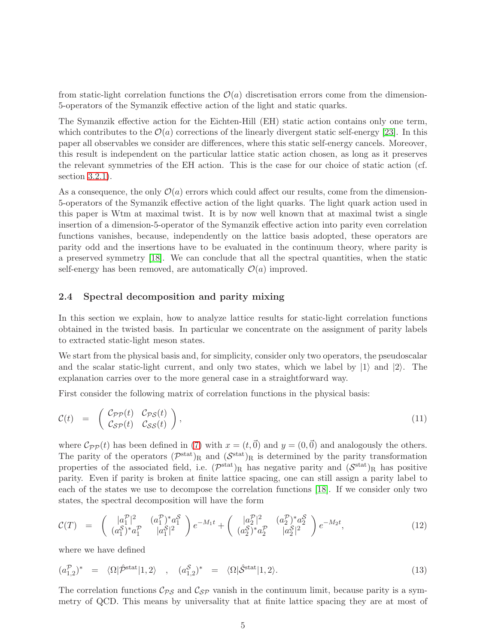from static-light correlation functions the  $\mathcal{O}(a)$  discretisation errors come from the dimension-5-operators of the Symanzik effective action of the light and static quarks.

The Symanzik effective action for the Eichten-Hill (EH) static action contains only one term, which contributes to the  $\mathcal{O}(a)$  corrections of the linearly divergent static self-energy [\[23\]](#page-19-9). In this paper all observables we consider are differences, where this static self-energy cancels. Moreover, this result is independent on the particular lattice static action chosen, as long as it preserves the relevant symmetries of the EH action. This is the case for our choice of static action (cf. section [3.2.1\)](#page-10-0).

As a consequence, the only  $\mathcal{O}(a)$  errors which could affect our results, come from the dimension-5-operators of the Symanzik effective action of the light quarks. The light quark action used in this paper is Wtm at maximal twist. It is by now well known that at maximal twist a single insertion of a dimension-5-operator of the Symanzik effective action into parity even correlation functions vanishes, because, independently on the lattice basis adopted, these operators are parity odd and the insertions have to be evaluated in the continuum theory, where parity is a preserved symmetry [\[18\]](#page-19-4). We can conclude that all the spectral quantities, when the static self-energy has been removed, are automatically  $\mathcal{O}(a)$  improved.

#### <span id="page-5-0"></span>2.4 Spectral decomposition and parity mixing

In this section we explain, how to analyze lattice results for static-light correlation functions obtained in the twisted basis. In particular we concentrate on the assignment of parity labels to extracted static-light meson states.

We start from the physical basis and, for simplicity, consider only two operators, the pseudoscalar and the scalar static-light current, and only two states, which we label by  $|1\rangle$  and  $|2\rangle$ . The explanation carries over to the more general case in a straightforward way.

First consider the following matrix of correlation functions in the physical basis:

$$
\mathcal{C}(t) = \begin{pmatrix} \mathcal{C}_{\mathcal{PP}}(t) & \mathcal{C}_{\mathcal{PS}}(t) \\ \mathcal{C}_{\mathcal{SP}}(t) & \mathcal{C}_{\mathcal{SS}}(t) \end{pmatrix}, \tag{11}
$$

where  $\mathcal{C}_{PP}(t)$  has been defined in [\(7\)](#page-4-3) with  $x = (t,\vec{0})$  and  $y = (0,\vec{0})$  and analogously the others. The parity of the operators  $(\mathcal{P}^{\text{stat}})_{\text{R}}$  and  $(\mathcal{S}^{\text{stat}})_{\text{R}}$  is determined by the parity transformation properties of the associated field, i.e.  $(\mathcal{P}^{\text{stat}})_{R}$  has negative parity and  $(\mathcal{S}^{\text{stat}})_{R}$  has positive parity. Even if parity is broken at finite lattice spacing, one can still assign a parity label to each of the states we use to decompose the correlation functions [\[18\]](#page-19-4). If we consider only two states, the spectral decomposition will have the form

<span id="page-5-1"></span>
$$
\mathcal{C}(T) = \begin{pmatrix} |a_1|^2 & (a_1^{\mathcal{P}})^* a_1^{\mathcal{S}} \\ (a_1^{\mathcal{S}})^* a_1^{\mathcal{P}} & |a_1^{\mathcal{S}}|^2 \end{pmatrix} e^{-M_1 t} + \begin{pmatrix} |a_2^{\mathcal{P}}|^2 & (a_2^{\mathcal{P}})^* a_2^{\mathcal{S}} \\ (a_2^{\mathcal{S}})^* a_2^{\mathcal{P}} & |a_2^{\mathcal{S}}|^2 \end{pmatrix} e^{-M_2 t}, \tag{12}
$$

where we have defined

$$
(a_{1,2}^{\mathcal{P}})^* = \langle \Omega | \hat{\mathcal{P}}^{\text{stat}} | 1, 2 \rangle , \quad (a_{1,2}^{\mathcal{S}})^* = \langle \Omega | \hat{\mathcal{S}}^{\text{stat}} | 1, 2 \rangle.
$$
 (13)

The correlation functions  $\mathcal{C}_{PS}$  and  $\mathcal{C}_{SP}$  vanish in the continuum limit, because parity is a symmetry of QCD. This means by universality that at finite lattice spacing they are at most of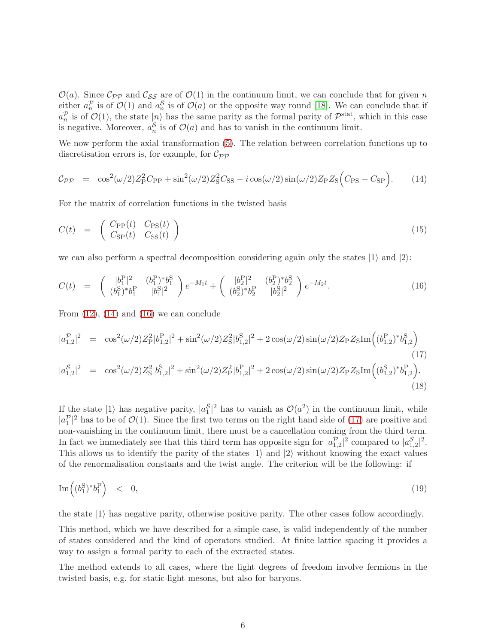$\mathcal{O}(a)$ . Since  $\mathcal{C}_{PP}$  and  $\mathcal{C}_{SS}$  are of  $\mathcal{O}(1)$  in the continuum limit, we can conclude that for given n either  $a_n^{\mathcal{P}}$  is of  $\mathcal{O}(1)$  and  $a_n^{\mathcal{S}}$  is of  $\mathcal{O}(a)$  or the opposite way round [\[18\]](#page-19-4). We can conclude that if  $a_n^{\mathcal{P}}$  is of  $\mathcal{O}(1)$ , the state  $|n\rangle$  has the same parity as the formal parity of  $\mathcal{P}^{\text{stat}}$ , which in this case is negative. Moreover,  $a_n^S$  is of  $\mathcal{O}(a)$  and has to vanish in the continuum limit.

We now perform the axial transformation  $(5)$ . The relation between correlation functions up to discretisation errors is, for example, for  $\mathcal{C}_{\mathcal{PP}}$ 

<span id="page-6-0"></span>
$$
C_{\mathcal{PP}} = \cos^2(\omega/2)Z_P^2 C_{\rm PP} + \sin^2(\omega/2)Z_S^2 C_{\rm SS} - i\cos(\omega/2)\sin(\omega/2)Z_P Z_S (C_{\rm PS} - C_{\rm SP}).\tag{14}
$$

For the matrix of correlation functions in the twisted basis

$$
C(t) = \begin{pmatrix} C_{\rm PP}(t) & C_{\rm PS}(t) \\ C_{\rm SP}(t) & C_{\rm SS}(t) \end{pmatrix}
$$
 (15)

we can also perform a spectral decomposition considering again only the states  $|1\rangle$  and  $|2\rangle$ :

<span id="page-6-1"></span>
$$
C(t) = \begin{pmatrix} |b_1^P|^2 & (b_1^P)^* b_1^S \ (b_1^S)^* b_1^P & |b_1^S|^2 \end{pmatrix} e^{-M_1 t} + \begin{pmatrix} |b_2^P|^2 & (b_2^P)^* b_2^S \ (b_2^S)^* b_2^P & |b_2^S|^2 \end{pmatrix} e^{-M_2 t}.
$$
 (16)

From  $(12)$ ,  $(14)$  and  $(16)$  we can conclude

<span id="page-6-2"></span>
$$
|a_{1,2}^{\mathcal{P}}|^2 = \cos^2(\omega/2)Z_P^2|b_{1,2}^P|^2 + \sin^2(\omega/2)Z_S^2|b_{1,2}^S|^2 + 2\cos(\omega/2)\sin(\omega/2)Z_PZ_SIm\left((b_{1,2}^P)^*b_{1,2}^S\right)
$$
  
\n
$$
|a_{1,2}^S|^2 = \cos^2(\omega/2)Z_S^2|b_{1,2}^S|^2 + \sin^2(\omega/2)Z_P^2|b_{1,2}^P|^2 + 2\cos(\omega/2)\sin(\omega/2)Z_PZ_SIm\left((b_{1,2}^S)^*b_{1,2}^P\right).
$$
\n(18)

If the state  $|1\rangle$  has negative parity,  $|a_1^{\mathcal{S}}|^2$  has to vanish as  $\mathcal{O}(a^2)$  in the continuum limit, while  $|a_1^{\mathcal{P}}|^2$  has to be of  $\mathcal{O}(1)$ . Since the first two terms on the right hand side of [\(17\)](#page-6-2) are positive and non-vanishing in the continuum limit, there must be a cancellation coming from the third term. In fact we immediately see that this third term has opposite sign for  $|a_{1,2}^{\mathcal{P}}|^2$  compared to  $|a_{1,2}^{\mathcal{S}}|^2$ . This allows us to identify the parity of the states  $|1\rangle$  and  $|2\rangle$  without knowing the exact values of the renormalisation constants and the twist angle. The criterion will be the following: if

$$
\operatorname{Im}\left((b_1^S)^*b_1^P\right) < 0,\tag{19}
$$

the state  $|1\rangle$  has negative parity, otherwise positive parity. The other cases follow accordingly.

This method, which we have described for a simple case, is valid independently of the number of states considered and the kind of operators studied. At finite lattice spacing it provides a way to assign a formal parity to each of the extracted states.

The method extends to all cases, where the light degrees of freedom involve fermions in the twisted basis, e.g. for static-light mesons, but also for baryons.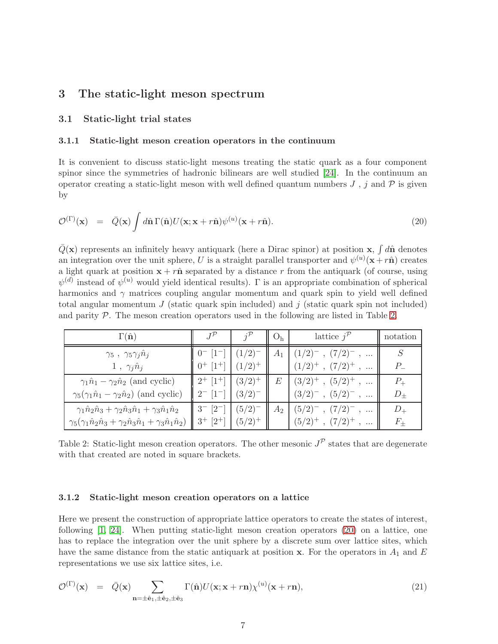### <span id="page-7-0"></span>3 The static-light meson spectrum

#### 3.1 Static-light trial states

#### 3.1.1 Static-light meson creation operators in the continuum

It is convenient to discuss static-light mesons treating the static quark as a four component spinor since the symmetries of hadronic bilinears are well studied [\[24\]](#page-19-10). In the continuum an operator creating a static-light meson with well defined quantum numbers  $J$ ,  $j$  and  $\mathcal P$  is given by

<span id="page-7-2"></span>
$$
\mathcal{O}^{(\Gamma)}(\mathbf{x}) = \bar{Q}(\mathbf{x}) \int d\hat{\mathbf{n}} \Gamma(\hat{\mathbf{n}}) U(\mathbf{x}; \mathbf{x} + r\hat{\mathbf{n}}) \psi^{(u)}(\mathbf{x} + r\hat{\mathbf{n}}).
$$
\n(20)

 $\bar{Q}(\mathbf{x})$  represents an infinitely heavy antiquark (here a Dirac spinor) at position x,  $\int d\hat{\mathbf{n}}$  denotes an integration over the unit sphere, U is a straight parallel transporter and  $\psi^{(u)}(\mathbf{x}+r\hat{\mathbf{n}})$  creates a light quark at position  $x + r\hat{n}$  separated by a distance r from the antiquark (of course, using  $\psi^{(d)}$  instead of  $\psi^{(u)}$  would yield identical results).  $\Gamma$  is an appropriate combination of spherical harmonics and  $\gamma$  matrices coupling angular momentum and quark spin to yield well defined total angular momentum  $J$  (static quark spin included) and  $j$  (static quark spin not included) and parity  $P$ . The meson creation operators used in the following are listed in Table [2.](#page-7-1)

| $\Gamma(\hat{\mathbf{n}})$                                                                   |                           |             | $\mathsf{U}_\mathrm{h}$ | lattice $j^{\mathcal{P}}$   | notation    |
|----------------------------------------------------------------------------------------------|---------------------------|-------------|-------------------------|-----------------------------|-------------|
| $\gamma_5 \; , \; \gamma_5 \gamma_j \hat n_j$                                                |                           | (1/2)       | $A_1$                   | $(1/2)^{-}$ , $(7/2)^{-}$ , |             |
| $1, \gamma_i \hat{n}_i$                                                                      | $0^+$ [1 <sup>+</sup> ]   | $(1/2)^{+}$ |                         | $(1/2)^+$ , $(7/2)^+$       | $P_{\perp}$ |
| $\gamma_1 \hat{n}_1 - \gamma_2 \hat{n}_2$ (and cyclic)                                       | $2^{+}$ [1 <sup>+</sup> ] | $(3/2)^{+}$ | E                       | $(3/2)^+$ , $(5/2)^+$ ,     | $P_{+}$     |
| $\gamma_5(\gamma_1 \hat{n}_1 - \gamma_2 \hat{n}_2)$ (and cyclic)                             |                           | $(3/2)^{-}$ |                         | $(3/2)^{-}$ , $(5/2)^{-}$ , | $D_{\pm}$   |
| $\gamma_1\hat{n}_2\hat{n}_3 + \gamma_2\hat{n}_3\hat{n}_1 + \gamma_3\hat{n}_1\hat{n}_2$       | $\lceil 2^{-} \rceil$     | $(5/2)^{-}$ | $A_2$                   | $(5/2)^{-}$ , $(7/2)^{-}$ , | $D_{+}$     |
| $\gamma_5(\gamma_1\hat{n}_2\hat{n}_3+\gamma_2\hat{n}_3\hat{n}_1+\gamma_3\hat{n}_1\hat{n}_2)$ | $3^{+}$ [2 <sup>+</sup> ] | $(5/2)^{+}$ |                         | $(5/2)^+$ , $(7/2)^+$ ,     | $F_{+}$     |

<span id="page-7-1"></span>Table 2: Static-light meson creation operators. The other mesonic  $J^{\mathcal{P}}$  states that are degenerate with that created are noted in square brackets.

#### <span id="page-7-4"></span>3.1.2 Static-light meson creation operators on a lattice

Here we present the construction of appropriate lattice operators to create the states of interest, following [\[1,](#page-18-0) [24\]](#page-19-10). When putting static-light meson creation operators [\(20\)](#page-7-2) on a lattice, one has to replace the integration over the unit sphere by a discrete sum over lattice sites, which have the same distance from the static antiquark at position x. For the operators in  $A_1$  and E representations we use six lattice sites, i.e.

<span id="page-7-3"></span>
$$
\mathcal{O}^{(\Gamma)}(\mathbf{x}) = \bar{Q}(\mathbf{x}) \sum_{\mathbf{n}=\pm\hat{\mathbf{e}}_1,\pm\hat{\mathbf{e}}_2,\pm\hat{\mathbf{e}}_3} \Gamma(\hat{\mathbf{n}}) U(\mathbf{x}; \mathbf{x}+r\mathbf{n}) \chi^{(u)}(\mathbf{x}+r\mathbf{n}), \tag{21}
$$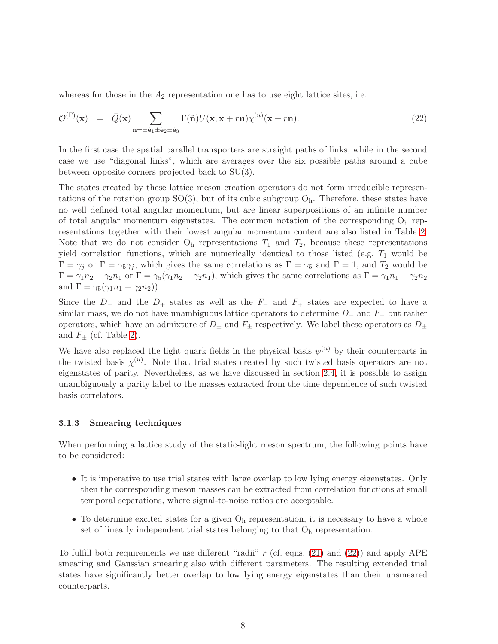whereas for those in the  $A_2$  representation one has to use eight lattice sites, i.e.

<span id="page-8-0"></span>
$$
\mathcal{O}^{(\Gamma)}(\mathbf{x}) = \bar{Q}(\mathbf{x}) \sum_{\mathbf{n}=\pm\hat{\mathbf{e}}_1\pm\hat{\mathbf{e}}_2\pm\hat{\mathbf{e}}_3} \Gamma(\hat{\mathbf{n}}) U(\mathbf{x}; \mathbf{x}+r\mathbf{n}) \chi^{(u)}(\mathbf{x}+r\mathbf{n}). \tag{22}
$$

In the first case the spatial parallel transporters are straight paths of links, while in the second case we use "diagonal links", which are averages over the six possible paths around a cube between opposite corners projected back to SU(3).

The states created by these lattice meson creation operators do not form irreducible representations of the rotation group  $SO(3)$ , but of its cubic subgroup  $O<sub>h</sub>$ . Therefore, these states have no well defined total angular momentum, but are linear superpositions of an infinite number of total angular momentum eigenstates. The common notation of the corresponding  $O<sub>h</sub>$  representations together with their lowest angular momentum content are also listed in Table [2.](#page-7-1) Note that we do not consider  $O<sub>h</sub>$  representations  $T<sub>1</sub>$  and  $T<sub>2</sub>$ , because these representations yield correlation functions, which are numerically identical to those listed (e.g.  $T_1$  would be  $\Gamma = \gamma_i$  or  $\Gamma = \gamma_5 \gamma_i$ , which gives the same correlations as  $\Gamma = \gamma_5$  and  $\Gamma = 1$ , and  $T_2$  would be  $\Gamma = \gamma_1 n_2 + \gamma_2 n_1$  or  $\Gamma = \gamma_5(\gamma_1 n_2 + \gamma_2 n_1)$ , which gives the same correlations as  $\Gamma = \gamma_1 n_1 - \gamma_2 n_2$ and  $\Gamma = \gamma_5(\gamma_1 n_1 - \gamma_2 n_2)$ .

Since the  $D_-$  and the  $D_+$  states as well as the  $F_-\,$  and  $F_+$  states are expected to have a similar mass, we do not have unambiguous lattice operators to determine  $D_$  and  $F_$  but rather operators, which have an admixture of  $D_{\pm}$  and  $F_{\pm}$  respectively. We label these operators as  $D_{\pm}$ and  $F_{\pm}$  (cf. Table [2\)](#page-7-1).

We have also replaced the light quark fields in the physical basis  $\psi^{(u)}$  by their counterparts in the twisted basis  $\chi^{(u)}$ . Note that trial states created by such twisted basis operators are not eigenstates of parity. Nevertheless, as we have discussed in section [2.4,](#page-5-0) it is possible to assign unambiguously a parity label to the masses extracted from the time dependence of such twisted basis correlators.

#### 3.1.3 Smearing techniques

When performing a lattice study of the static-light meson spectrum, the following points have to be considered:

- It is imperative to use trial states with large overlap to low lying energy eigenstates. Only then the corresponding meson masses can be extracted from correlation functions at small temporal separations, where signal-to-noise ratios are acceptable.
- To determine excited states for a given  $O<sub>h</sub>$  representation, it is necessary to have a whole set of linearly independent trial states belonging to that  $O<sub>h</sub>$  representation.

To fulfill both requirements we use different "radii"  $r$  (cf. eqns. [\(21\)](#page-7-3) and [\(22\)](#page-8-0)) and apply APE smearing and Gaussian smearing also with different parameters. The resulting extended trial states have significantly better overlap to low lying energy eigenstates than their unsmeared counterparts.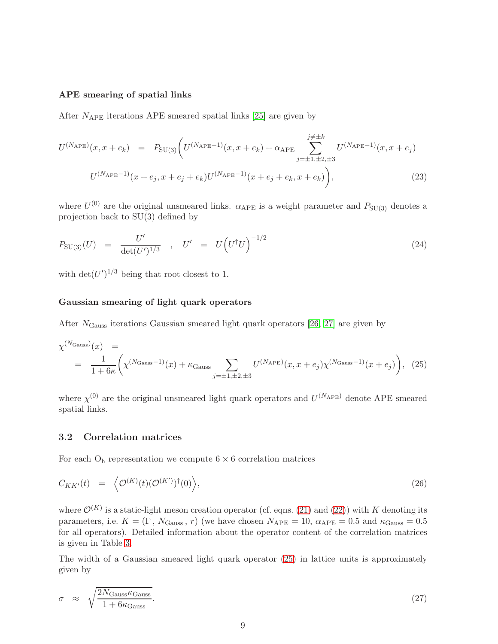#### APE smearing of spatial links

After  $N_{\text{APE}}$  iterations APE smeared spatial links [\[25\]](#page-19-11) are given by

$$
U^{(N_{\text{APE}})}(x, x + e_k) = P_{\text{SU(3)}} \bigg( U^{(N_{\text{APE}}-1)}(x, x + e_k) + \alpha_{\text{APE}} \sum_{j=\pm 1, \pm 2, \pm 3}^{j \neq \pm k} U^{(N_{\text{APE}}-1)}(x, x + e_j)
$$
  

$$
U^{(N_{\text{APE}}-1)}(x + e_j, x + e_j + e_k) U^{(N_{\text{APE}}-1)}(x + e_j + e_k, x + e_k) \bigg),
$$
 (23)

where  $U^{(0)}$  are the original unsmeared links.  $\alpha_{\text{APE}}$  is a weight parameter and  $P_{\text{SU(3)}}$  denotes a projection back to SU(3) defined by

$$
P_{\text{SU(3)}}(U) = \frac{U'}{\det(U')^{1/3}} , \quad U' = U(U^{\dagger}U)^{-1/2}
$$
 (24)

with  $\det(U')^{1/3}$  being that root closest to 1.

#### Gaussian smearing of light quark operators

After  $N_{\text{Gauss}}$  iterations Gaussian smeared light quark operators [\[26,](#page-19-12) [27\]](#page-19-13) are given by

<span id="page-9-0"></span>
$$
\chi^{(N_{\text{Gauss}})}(x) = \frac{1}{1 + 6\kappa} \left( \chi^{(N_{\text{Gauss}}-1)}(x) + \kappa_{\text{Gauss}} \sum_{j=\pm 1, \pm 2, \pm 3} U^{(N_{\text{APE}})}(x, x + e_j) \chi^{(N_{\text{Gauss}}-1)}(x + e_j) \right), (25)
$$

where  $\chi^{(0)}$  are the original unsmeared light quark operators and  $U^{(N_{\text{APE}})}$  denote APE smeared spatial links.

#### 3.2 Correlation matrices

For each  $\mathrm{O}_\mathrm{h}$  representation we compute  $6\times 6$  correlation matrices

<span id="page-9-1"></span>
$$
C_{KK'}(t) = \langle \mathcal{O}^{(K)}(t)(\mathcal{O}^{(K')})^{\dagger}(0) \rangle, \tag{26}
$$

where  $\mathcal{O}^{(K)}$  is a static-light meson creation operator (cf. eqns. [\(21\)](#page-7-3) and [\(22\)](#page-8-0)) with K denoting its parameters, i.e.  $K = (\Gamma, N_{\text{Gauss}}, r)$  (we have chosen  $N_{\text{APE}} = 10$ ,  $\alpha_{\text{APE}} = 0.5$  and  $\kappa_{\text{Gauss}} = 0.5$ for all operators). Detailed information about the operator content of the correlation matrices is given in Table [3.](#page-10-1)

The width of a Gaussian smeared light quark operator [\(25\)](#page-9-0) in lattice units is approximately given by

$$
\sigma \approx \sqrt{\frac{2N_{\text{Gauss}}\kappa_{\text{Gauss}}}{1 + 6\kappa_{\text{Gauss}}}}.\tag{27}
$$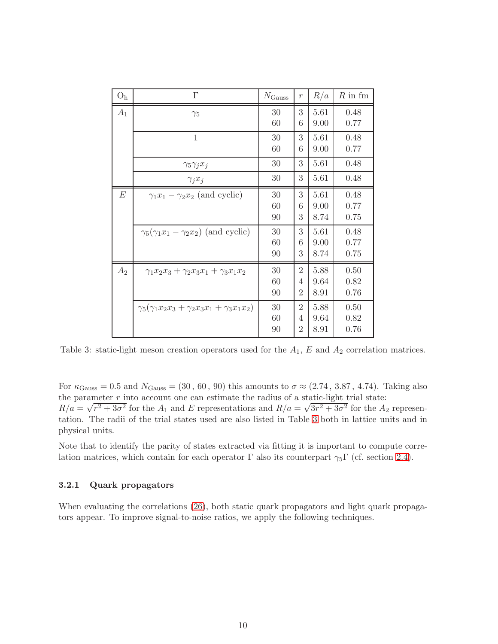| O <sub>h</sub> | $\Gamma$                                                 | $N_{\rm Gauss}$ | $\mathcal{r}$                         | R/a                  | $R$ in fm            |
|----------------|----------------------------------------------------------|-----------------|---------------------------------------|----------------------|----------------------|
| $A_1$          | $\gamma_5$                                               | 30<br>60        | 3<br>6                                | 5.61<br>9.00         | 0.48<br>0.77         |
|                | $\mathbf{1}$                                             | 30<br>60        | 3<br>6                                | 5.61<br>9.00         | 0.48<br>0.77         |
|                | $\gamma_5 \gamma_j x_j$                                  | 30              | 3                                     | 5.61                 | 0.48                 |
|                | $\gamma_j x_j$                                           | 30              | 3                                     | 5.61                 | 0.48                 |
| E              | $\gamma_1 x_1 - \gamma_2 x_2$ (and cyclic)               | 30<br>60<br>90  | 3<br>6<br>3                           | 5.61<br>9.00<br>8.74 | 0.48<br>0.77<br>0.75 |
|                | $\gamma_5(\gamma_1x_1-\gamma_2x_2)$ (and cyclic)         | 30<br>60<br>90  | 3<br>6<br>3                           | 5.61<br>9.00<br>8.74 | 0.48<br>0.77<br>0.75 |
| $A_2$          | $\gamma_1 x_2 x_3 + \gamma_2 x_3 x_1 + \gamma_3 x_1 x_2$ | 30<br>60<br>90  | $\overline{2}$<br>4<br>$\overline{2}$ | 5.88<br>9.64<br>8.91 | 0.50<br>0.82<br>0.76 |
|                | $\gamma_5(\gamma_1x_2x_3+\gamma_2x_3x_1+\gamma_3x_1x_2)$ | 30<br>60<br>90  | $\overline{2}$<br>4<br>$\overline{2}$ | 5.88<br>9.64<br>8.91 | 0.50<br>0.82<br>0.76 |

<span id="page-10-1"></span>Table 3: static-light meson creation operators used for the  $A_1$ , E and  $A_2$  correlation matrices.

For  $\kappa_{\text{Gauss}} = 0.5$  and  $N_{\text{Gauss}} = (30, 60, 90)$  this amounts to  $\sigma \approx (2.74, 3.87, 4.74)$ . Taking also the parameter  $r$  into account one can estimate the radius of a static-light trial state:  $R/a = \sqrt{r^2 + 3\sigma^2}$  for the  $A_1$  and E representations and  $R/a = \sqrt{3r^2 + 3\sigma^2}$  for the  $A_2$  representation. The radii of the trial states used are also listed in Table [3](#page-10-1) both in lattice units and in physical units.

Note that to identify the parity of states extracted via fitting it is important to compute correlation matrices, which contain for each operator  $\Gamma$  also its counterpart  $\gamma_5\Gamma$  (cf. section [2.4\)](#page-5-0).

#### <span id="page-10-0"></span>3.2.1 Quark propagators

When evaluating the correlations [\(26\)](#page-9-1), both static quark propagators and light quark propagators appear. To improve signal-to-noise ratios, we apply the following techniques.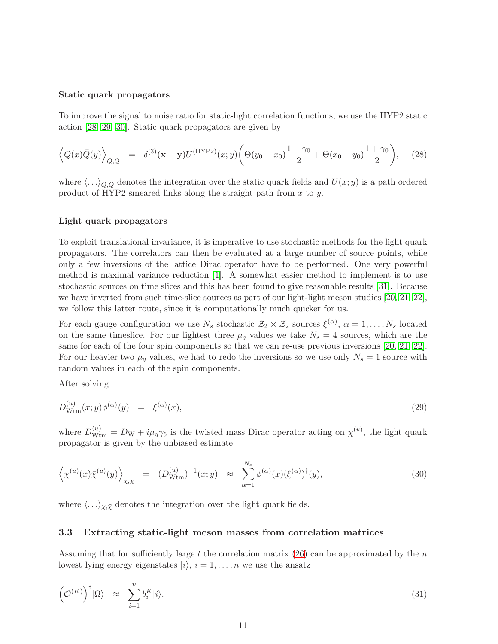#### Static quark propagators

To improve the signal to noise ratio for static-light correlation functions, we use the HYP2 static action [\[28,](#page-19-14) [29,](#page-19-15) [30\]](#page-19-16). Static quark propagators are given by

$$
\left\langle Q(x)\bar{Q}(y)\right\rangle_{Q,\bar{Q}} = \delta^{(3)}(\mathbf{x} - \mathbf{y})U^{(\text{HYP2})}(x;y)\left(\Theta(y_0 - x_0)\frac{1 - \gamma_0}{2} + \Theta(x_0 - y_0)\frac{1 + \gamma_0}{2}\right),\tag{28}
$$

where  $\langle \ldots \rangle_{Q,\bar{Q}}$  denotes the integration over the static quark fields and  $U(x; y)$  is a path ordered product of HYP2 smeared links along the straight path from  $x$  to  $y$ .

#### Light quark propagators

To exploit translational invariance, it is imperative to use stochastic methods for the light quark propagators. The correlators can then be evaluated at a large number of source points, while only a few inversions of the lattice Dirac operator have to be performed. One very powerful method is maximal variance reduction [\[1\]](#page-18-0). A somewhat easier method to implement is to use stochastic sources on time slices and this has been found to give reasonable results [\[31\]](#page-20-0). Because we have inverted from such time-slice sources as part of our light-light meson studies [\[20,](#page-19-6) [21,](#page-19-7) [22\]](#page-19-8), we follow this latter route, since it is computationally much quicker for us.

For each gauge configuration we use  $N_s$  stochastic  $\mathcal{Z}_2 \times \mathcal{Z}_2$  sources  $\xi^{(\alpha)}$ ,  $\alpha = 1, \ldots, N_s$  located on the same timeslice. For our lightest three  $\mu_q$  values we take  $N_s = 4$  sources, which are the same for each of the four spin components so that we can re-use previous inversions [\[20,](#page-19-6) [21,](#page-19-7) [22\]](#page-19-8). For our heavier two  $\mu_q$  values, we had to redo the inversions so we use only  $N_s = 1$  source with random values in each of the spin components.

After solving

$$
D_{\text{Wtm}}^{(u)}(x;y)\phi^{(\alpha)}(y) = \xi^{(\alpha)}(x),\tag{29}
$$

where  $D_{\text{Wtm}}^{(u)} = D_{\text{W}} + i\mu_{\text{q}}\gamma_5$  is the twisted mass Dirac operator acting on  $\chi^{(u)}$ , the light quark propagator is given by the unbiased estimate

$$
\left\langle \chi^{(u)}(x)\bar{\chi}^{(u)}(y) \right\rangle_{\chi,\bar{\chi}} = (D_{\text{Wtm}}^{(u)})^{-1}(x;y) \approx \sum_{\alpha=1}^{N_s} \phi^{(\alpha)}(x) (\xi^{(\alpha)})^{\dagger}(y), \tag{30}
$$

where  $\langle \ldots \rangle_{\chi,\bar{\chi}}$  denotes the integration over the light quark fields.

#### 3.3 Extracting static-light meson masses from correlation matrices

Assuming that for sufficiently large t the correlation matrix  $(26)$  can be approximated by the n lowest lying energy eigenstates  $|i\rangle$ ,  $i = 1, \ldots, n$  we use the ansatz

$$
\left(\mathcal{O}^{(K)}\right)^{\dagger}|\Omega\rangle \quad \approx \quad \sum_{i=1}^{n} b_i^K|i\rangle. \tag{31}
$$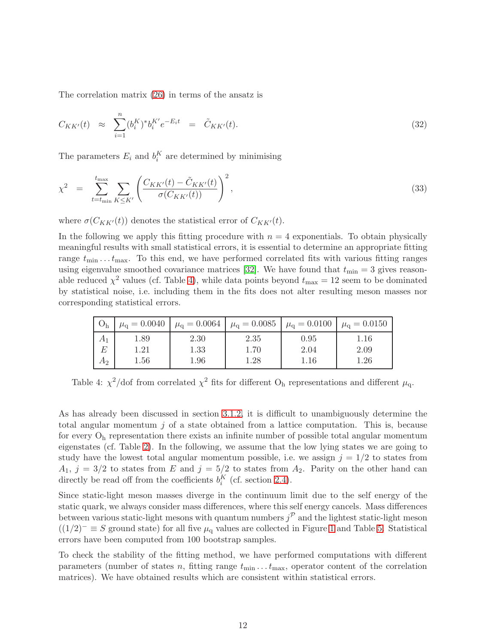The correlation matrix [\(26\)](#page-9-1) in terms of the ansatz is

$$
C_{KK'}(t) \approx \sum_{i=1}^{n} (b_i^K)^* b_i^{K'} e^{-E_i t} = \tilde{C}_{KK'}(t). \tag{32}
$$

The parameters  $E_i$  and  $b_i^K$  are determined by minimising

$$
\chi^{2} = \sum_{t=t_{\min}}^{t_{\max}} \sum_{K \leq K'} \left( \frac{C_{KK'}(t) - \tilde{C}_{KK'}(t)}{\sigma(C_{KK'}(t))} \right)^{2}, \tag{33}
$$

where  $\sigma(C_{KK'}(t))$  denotes the statistical error of  $C_{KK'}(t)$ .

In the following we apply this fitting procedure with  $n = 4$  exponentials. To obtain physically meaningful results with small statistical errors, it is essential to determine an appropriate fitting range  $t_{\min} \ldots t_{\max}$ . To this end, we have performed correlated fits with various fitting ranges using eigenvalue smoothed covariance matrices [\[32\]](#page-20-1). We have found that  $t_{\text{min}} = 3$  gives reasonable reduced  $\chi^2$  values (cf. Table [4\)](#page-12-0), while data points beyond  $t_{\text{max}} = 12$  seem to be dominated by statistical noise, i.e. including them in the fits does not alter resulting meson masses nor corresponding statistical errors.

| O <sub>h</sub> |                      |              |                  | $\mu_{\rm q} = 0.0040$ $\mu_{\rm q} = 0.0064$ $\mu_{\rm q} = 0.0085$ $\mu_{\rm q} = 0.0100$ $\mu_{\rm q} = 0.0150$ |                  |
|----------------|----------------------|--------------|------------------|--------------------------------------------------------------------------------------------------------------------|------------------|
| $A_1$          | 1.89                 | 2.30         | 2.35             | 0.95                                                                                                               | 1.16             |
| E<br>$A_2$     | $1.21\,$<br>$1.56\,$ | 1.33<br>1.96 | 1.70<br>$1.28\,$ | 2.04<br>$1.16\,$                                                                                                   | 2.09<br>$1.26\,$ |

<span id="page-12-0"></span>Table 4:  $\chi^2$ /dof from correlated  $\chi^2$  fits for different O<sub>h</sub> representations and different  $\mu_q$ .

As has already been discussed in section [3.1.2,](#page-7-4) it is difficult to unambiguously determine the total angular momentum  $j$  of a state obtained from a lattice computation. This is, because for every  $O<sub>h</sub>$  representation there exists an infinite number of possible total angular momentum eigenstates (cf. Table [2\)](#page-7-1). In the following, we assume that the low lying states we are going to study have the lowest total angular momentum possible, i.e. we assign  $j = 1/2$  to states from  $A_1, j = 3/2$  to states from E and  $j = 5/2$  to states from  $A_2$ . Parity on the other hand can directly be read off from the coefficients  $b_i^K$  (cf. section [2.4\)](#page-5-0).

Since static-light meson masses diverge in the continuum limit due to the self energy of the static quark, we always consider mass differences, where this self energy cancels. Mass differences between various static-light mesons with quantum numbers  $j^{\mathcal{P}}$  and the lightest static-light meson  $((1/2)^{-} \equiv S$  ground state) for all five  $\mu_{q}$  values are collected in Figure [1](#page-13-0) and Table [5.](#page-13-1) Statistical errors have been computed from 100 bootstrap samples.

To check the stability of the fitting method, we have performed computations with different parameters (number of states n, fitting range  $t_{\min} \ldots t_{\max}$ , operator content of the correlation matrices). We have obtained results which are consistent within statistical errors.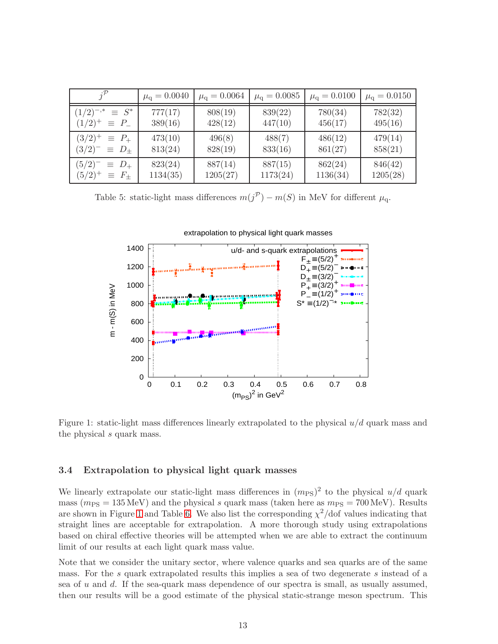| $i^{\mathcal{P}}$                                              | $\mu_{\rm q} = 0.0040$ | $\mu_{\rm q} = 0.0064$ | $\mu_{\rm q} = 0.0085$ | $\mu_{\rm q} = 0.0100$ | $\mu_{\rm q} = 0.0150$ |
|----------------------------------------------------------------|------------------------|------------------------|------------------------|------------------------|------------------------|
| $(1/2)^{-,*}$<br>$\equiv S^*$<br>$(1/2)^{+} \equiv P_{-}$      | 777(17)<br>389(16)     | 808(19)<br>428(12)     | 839(22)<br>447(10)     | 780(34)<br>456(17)     | 782(32)<br>495(16)     |
| $(3/2)^{+}$<br>$\equiv$ $P_{+}$<br>$(3/2)^{-}$<br>$\equiv D_+$ | 473(10)<br>813(24)     | 496(8)<br>828(19)      | 488(7)<br>833(16)      | 486(12)<br>861(27)     | 479(14)<br>858(21)     |
| $(5/2)^{-}$<br>$\equiv D_+$<br>$(5/2)^{+}$<br>$\equiv$ $F_{+}$ | 823(24)<br>1134(35)    | 887(14)<br>1205(27)    | 887(15)<br>1173(24)    | 862(24)<br>1136(34)    | 846(42)<br>1205(28)    |

<span id="page-13-1"></span>Table 5: static-light mass differences  $m(j^{\mathcal{P}}) - m(S)$  in MeV for different  $\mu_{q}$ .



<span id="page-13-0"></span>Figure 1: static-light mass differences linearly extrapolated to the physical  $u/d$  quark mass and the physical s quark mass.

#### 3.4 Extrapolation to physical light quark masses

We linearly extrapolate our static-light mass differences in  $(m_{PS})^2$  to the physical  $u/d$  quark mass ( $m_{PS} = 135 \text{ MeV}$ ) and the physical s quark mass (taken here as  $m_{PS} = 700 \text{ MeV}$ ). Results are shown in Figure [1](#page-13-0) and Table [6.](#page-14-1) We also list the corresponding  $\chi^2$ /dof values indicating that straight lines are acceptable for extrapolation. A more thorough study using extrapolations based on chiral effective theories will be attempted when we are able to extract the continuum limit of our results at each light quark mass value.

Note that we consider the unitary sector, where valence quarks and sea quarks are of the same mass. For the s quark extrapolated results this implies a sea of two degenerate s instead of a sea of  $u$  and  $d$ . If the sea-quark mass dependence of our spectra is small, as usually assumed, then our results will be a good estimate of the physical static-strange meson spectrum. This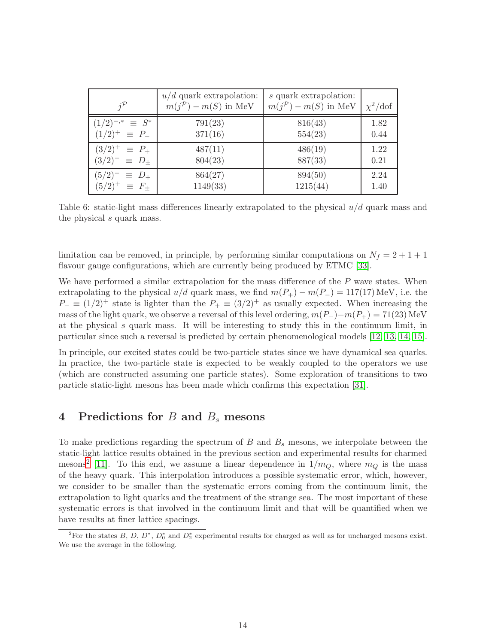|                            | $u/d$ quark extrapolation:<br>$m(j^{\mathcal{P}}) - m(S)$ in MeV | s quark extrapolation:<br>$m(j^{\mathcal{P}}) - m(S)$ in MeV | $\chi^2/\text{dof}$ |
|----------------------------|------------------------------------------------------------------|--------------------------------------------------------------|---------------------|
| $(1/2)^{-,*} \equiv S^*$   | 791(23)                                                          | 816(43)                                                      | 1.82                |
| $(1/2)^{+} \equiv P_{-}$   | 371(16)                                                          | 554(23)                                                      | 0.44                |
| $(3/2)^{+} \equiv P_{+}$   | 487(11)                                                          | 486(19)                                                      | 1.22                |
| $(3/2)^{-} \equiv D_{\pm}$ | 804(23)                                                          | 887(33)                                                      | 0.21                |
| $(5/2)^{-} \equiv D_{+}$   | 864(27)                                                          | 894(50)                                                      | 2.24                |
| $(5/2)^{+} \equiv F_{+}$   | 1149(33)                                                         | 1215(44)                                                     | 1.40                |

<span id="page-14-1"></span>Table 6: static-light mass differences linearly extrapolated to the physical u/d quark mass and the physical s quark mass.

limitation can be removed, in principle, by performing similar computations on  $N_f = 2 + 1 + 1$ flavour gauge configurations, which are currently being produced by ETMC [\[33\]](#page-20-2).

We have performed a similar extrapolation for the mass difference of the  $P$  wave states. When extrapolating to the physical  $u/d$  quark mass, we find  $m(P_+) - m(P_-) = 117(17)$  MeV, i.e. the  $P_-\equiv (1/2)^+$  state is lighter than the  $P_+\equiv (3/2)^+$  as usually expected. When increasing the mass of the light quark, we observe a reversal of this level ordering,  $m(P_{-})-m(P_{+}) = 71(23)$  MeV at the physical s quark mass. It will be interesting to study this in the continuum limit, in particular since such a reversal is predicted by certain phenomenological models [\[12,](#page-18-11) [13,](#page-18-12) [14,](#page-19-0) [15\]](#page-19-1).

In principle, our excited states could be two-particle states since we have dynamical sea quarks. In practice, the two-particle state is expected to be weakly coupled to the operators we use (which are constructed assuming one particle states). Some exploration of transitions to two particle static-light mesons has been made which confirms this expectation [\[31\]](#page-20-0).

## <span id="page-14-0"></span>4 Predictions for  $B$  and  $B<sub>s</sub>$  mesons

To make predictions regarding the spectrum of  $B$  and  $B_s$  mesons, we interpolate between the static-light lattice results obtained in the previous section and experimental results for charmed mesons<sup>[2](#page-14-2)</sup> [\[11\]](#page-18-10). To this end, we assume a linear dependence in  $1/m_Q$ , where  $m_Q$  is the mass of the heavy quark. This interpolation introduces a possible systematic error, which, however, we consider to be smaller than the systematic errors coming from the continuum limit, the extrapolation to light quarks and the treatment of the strange sea. The most important of these systematic errors is that involved in the continuum limit and that will be quantified when we have results at finer lattice spacings.

<span id="page-14-2"></span><sup>&</sup>lt;sup>2</sup>For the states B, D,  $D^*$ ,  $D_0^*$  and  $D_2^*$  experimental results for charged as well as for uncharged mesons exist. We use the average in the following.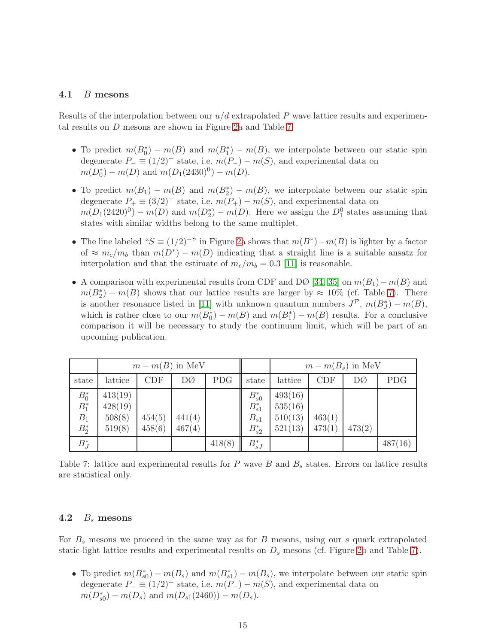#### 4.1 B mesons

Results of the interpolation between our  $u/d$  extrapolated P wave lattice results and experimental results on D mesons are shown in Figure [2a](#page-16-0) and Table [7.](#page-15-0)

- To predict  $m(B_0^*) m(B)$  and  $m(B_1^*) m(B)$ , we interpolate between our static spin degenerate  $P_ - \equiv (1/2)^+$  state, i.e.  $m(P_-) - m(S)$ , and experimental data on  $m(D_0^*) - m(D)$  and  $m(D_1(2430)^0) - m(D)$ .
- To predict  $m(B_1) m(B)$  and  $m(B_2^*) m(B)$ , we interpolate between our static spin degenerate  $P_+ \equiv (3/2)^+$  state, i.e.  $m(P_+) - m(S)$ , and experimental data on  $m(D_1(2420)^0) - m(D)$  and  $m(D_2^*) - m(D)$ . Here we assign the  $D_1^0$  states assuming that states with similar widths belong to the same multiplet.
- The line labeled " $S \equiv (1/2)^{-n}$  in Figure [2a](#page-16-0) shows that  $m(B^*) m(B)$  is lighter by a factor of  $\approx m_c/m_b$  than  $m(D^*) - m(D)$  indicating that a straight line is a suitable ansatz for interpolation and that the estimate of  $m_c/m_b = 0.3$  [\[11\]](#page-18-10) is reasonable.
- A comparison with experimental results from CDF and DØ [\[34,](#page-20-3) [35\]](#page-20-4) on  $m(B_1)-m(B)$  and  $m(B_2^*) - m(B)$  shows that our lattice results are larger by  $\approx 10\%$  (cf. Table [7\)](#page-15-0). There is another resonance listed in [\[11\]](#page-18-10) with unknown quantum numbers  $J^{\mathcal{P}}$ ,  $m(B_J^*) - m(B)$ , which is rather close to our  $m(B_0^*) - m(B)$  and  $m(B_1^*) - m(B)$  results. For a conclusive comparison it will be necessary to study the continuum limit, which will be part of an upcoming publication.

|                                        | $m - m(B)$ in MeV                      |                  |                  |            |                                                    | $m - m(B_s)$ in MeV                      |                  |        |            |
|----------------------------------------|----------------------------------------|------------------|------------------|------------|----------------------------------------------------|------------------------------------------|------------------|--------|------------|
| state                                  | lattice                                | CDF              | DØ               | <b>PDG</b> | state                                              | lattice                                  | CDF              | DØ     | <b>PDG</b> |
| $B_0^*$<br>$B_1^*$<br>$B_1$<br>$B_2^*$ | 413(19)<br>428(19)<br>508(8)<br>519(8) | 454(5)<br>458(6) | 441(4)<br>467(4) |            | $B_{s0}^*$<br>$B_{s1}^*$<br>$B_{s1}$<br>$B_{s2}^*$ | 493(16)<br>535(16)<br>510(13)<br>521(13) | 463(1)<br>473(1) | 473(2) |            |
| $B_J^*$                                |                                        |                  |                  | 418(8)     | $B_{sJ}^*$                                         |                                          |                  |        | 487(16)    |

<span id="page-15-0"></span>Table 7: lattice and experimental results for  $P$  wave  $B$  and  $B_s$  states. Errors on lattice results are statistical only.

#### 4.2  $B_s$  mesons

For  $B_s$  mesons we proceed in the same way as for B mesons, using our s quark extrapolated static-light lattice results and experimental results on  $D_s$  mesons (cf. Figure [2b](#page-16-0) and Table [7\)](#page-15-0).

• To predict  $m(B_{s0}^*) - m(B_s)$  and  $m(B_{s1}^*) - m(B_s)$ , we interpolate between our static spin degenerate  $P_ = (1/2)^+$  state, i.e.  $m(P_-) - m(S)$ , and experimental data on  $m(D_{s0}^*) - m(D_s)$  and  $m(D_{s1}(2460)) - m(D_s)$ .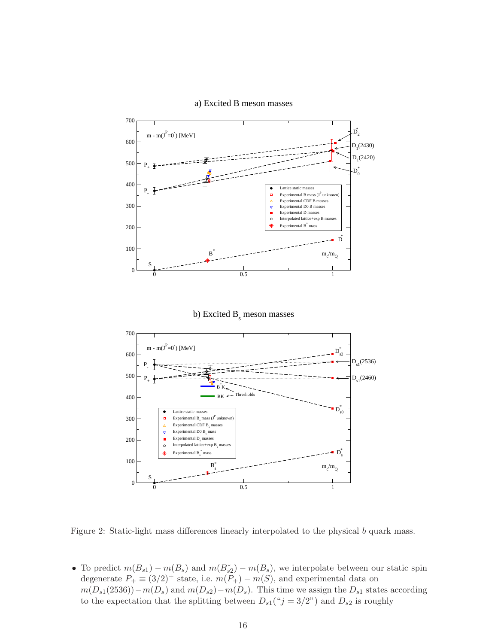

a) Excited B meson masses

<span id="page-16-0"></span>Figure 2: Static-light mass differences linearly interpolated to the physical b quark mass.

• To predict  $m(B_{s1}) - m(B_s)$  and  $m(B_{s2}) - m(B_s)$ , we interpolate between our static spin degenerate  $P_+ \equiv (3/2)^+$  state, i.e.  $m(P_+) - m(S)$ , and experimental data on  $m(D_{s1}(2536))-m(D_s)$  and  $m(D_{s2})-m(D_s)$ . This time we assign the  $D_{s1}$  states according to the expectation that the splitting between  $D_{s1}$ (" $j = 3/2$ ") and  $D_{s2}$  is roughly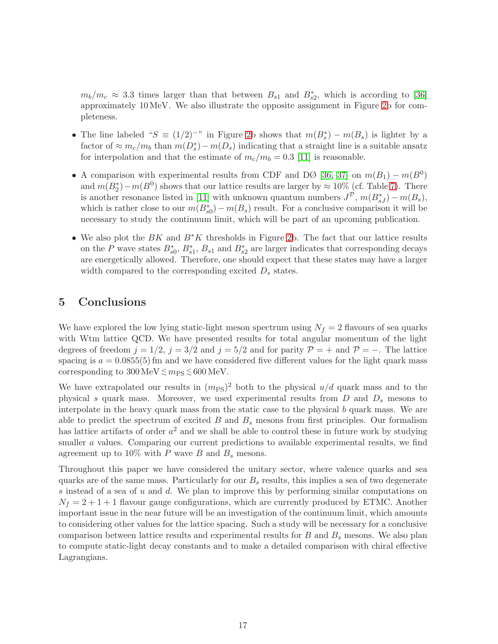$m_b/m_c \approx 3.3$  times larger than that between  $B_{s1}$  and  $B_{s2}^*$ , which is according to [\[36\]](#page-20-5) approximately 10 MeV. We also illustrate the opposite assignment in Figure [2b](#page-16-0) for completeness.

- The line labeled " $S \equiv (1/2)^{-n}$  in Figure [2b](#page-16-0) shows that  $m(B_s^*) m(B_s)$  is lighter by a factor of  $\approx m_c/m_b$  than  $m(D_s^*) - m(D_s)$  indicating that a straight line is a suitable ansatz for interpolation and that the estimate of  $m_c/m_b = 0.3$  [\[11\]](#page-18-10) is reasonable.
- A comparison with experimental results from CDF and DØ [\[36,](#page-20-5) [37\]](#page-20-6) on  $m(B_1) m(B^0)$ and  $m(B_2^*) - m(B^0)$  shows that our lattice results are larger by  $\approx 10\%$  (cf. Table [7\)](#page-15-0). There is another resonance listed in [\[11\]](#page-18-10) with unknown quantum numbers  $J^{\mathcal{P}}$ ,  $m(B^*_{sJ}) - m(B_s)$ , which is rather close to our  $m(B_{s0}^*) - m(B_s)$  result. For a conclusive comparison it will be necessary to study the continuum limit, which will be part of an upcoming publication.
- We also plot the  $BK$  and  $B*K$  thresholds in Figure [2b](#page-16-0). The fact that our lattice results on the P wave states  $B_{s0}^*$ ,  $B_{s1}^*$ ,  $B_{s1}$  and  $B_{s2}^*$  are larger indicates that corresponding decays are energetically allowed. Therefore, one should expect that these states may have a larger width compared to the corresponding excited  $D_s$  states.

### <span id="page-17-0"></span>5 Conclusions

We have explored the low lying static-light meson spectrum using  $N_f = 2$  flavours of sea quarks with Wtm lattice QCD. We have presented results for total angular momentum of the light degrees of freedom  $j = 1/2$ ,  $j = 3/2$  and  $j = 5/2$  and for parity  $\mathcal{P} = +$  and  $\mathcal{P} = -$ . The lattice spacing is  $a = 0.0855(5)$  fm and we have considered five different values for the light quark mass corresponding to  $300 \,\mathrm{MeV} \lesssim m_\mathrm{PS} \lesssim 600 \,\mathrm{MeV}$ .

We have extrapolated our results in  $(m_{PS})^2$  both to the physical  $u/d$  quark mass and to the physical s quark mass. Moreover, we used experimental results from  $D$  and  $D<sub>s</sub>$  mesons to interpolate in the heavy quark mass from the static case to the physical b quark mass. We are able to predict the spectrum of excited  $B$  and  $B_s$  mesons from first principles. Our formalism has lattice artifacts of order  $a^2$  and we shall be able to control these in future work by studying smaller a values. Comparing our current predictions to available experimental results, we find agreement up to 10% with P wave B and  $B_s$  mesons.

Throughout this paper we have considered the unitary sector, where valence quarks and sea quarks are of the same mass. Particularly for our  $B_s$  results, this implies a sea of two degenerate s instead of a sea of  $u$  and  $d$ . We plan to improve this by performing similar computations on  $N_f = 2 + 1 + 1$  flavour gauge configurations, which are currently produced by ETMC. Another important issue in the near future will be an investigation of the continuum limit, which amounts to considering other values for the lattice spacing. Such a study will be necessary for a conclusive comparison between lattice results and experimental results for  $B$  and  $B<sub>s</sub>$  mesons. We also plan to compute static-light decay constants and to make a detailed comparison with chiral effective Lagrangians.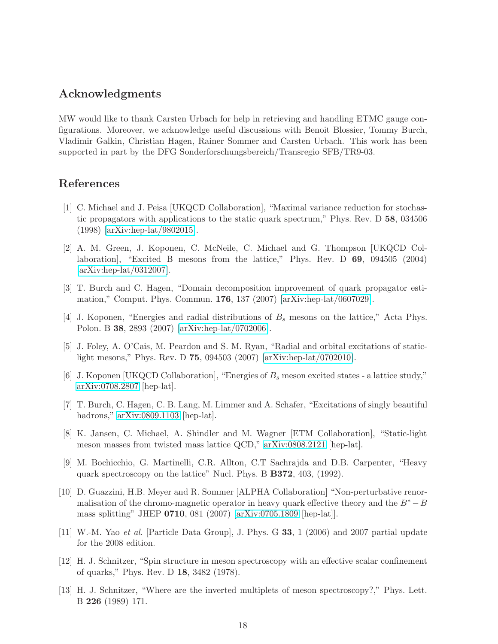### Acknowledgments

MW would like to thank Carsten Urbach for help in retrieving and handling ETMC gauge configurations. Moreover, we acknowledge useful discussions with Benoit Blossier, Tommy Burch, Vladimir Galkin, Christian Hagen, Rainer Sommer and Carsten Urbach. This work has been supported in part by the DFG Sonderforschungsbereich/Transregio SFB/TR9-03.

# <span id="page-18-0"></span>References

- [1] C. Michael and J. Peisa [UKQCD Collaboration], "Maximal variance reduction for stochastic propagators with applications to the static quark spectrum," Phys. Rev. D 58, 034506 (1998) [\[arXiv:hep-lat/9802015\]](http://arXiv.org/abs/hep-lat/9802015).
- <span id="page-18-1"></span>[2] A. M. Green, J. Koponen, C. McNeile, C. Michael and G. Thompson [UKQCD Collaboration], "Excited B mesons from the lattice," Phys. Rev. D 69, 094505 (2004) [\[arXiv:hep-lat/0312007\]](http://arXiv.org/abs/hep-lat/0312007).
- <span id="page-18-3"></span><span id="page-18-2"></span>[3] T. Burch and C. Hagen, "Domain decomposition improvement of quark propagator estimation," Comput. Phys. Commun. 176, 137 (2007) [\[arXiv:hep-lat/0607029\]](http://arXiv.org/abs/hep-lat/0607029).
- <span id="page-18-4"></span>[4] J. Koponen, "Energies and radial distributions of  $B_s$  mesons on the lattice," Acta Phys. Polon. B 38, 2893 (2007) [\[arXiv:hep-lat/0702006\]](http://arXiv.org/abs/hep-lat/0702006).
- [5] J. Foley, A. O'Cais, M. Peardon and S. M. Ryan, "Radial and orbital excitations of staticlight mesons," Phys. Rev. D 75, 094503 (2007) [\[arXiv:hep-lat/0702010\]](http://arXiv.org/abs/hep-lat/0702010).
- <span id="page-18-5"></span>[6] J. Koponen [UKQCD Collaboration], "Energies of  $B_s$  meson excited states - a lattice study," [arXiv:0708.2807](http://arXiv.org/abs/0708.2807) [hep-lat].
- <span id="page-18-6"></span>[7] T. Burch, C. Hagen, C. B. Lang, M. Limmer and A. Schafer, "Excitations of singly beautiful hadrons," [arXiv:0809.1103](http://arXiv.org/abs/0809.1103) [hep-lat].
- <span id="page-18-7"></span>[8] K. Jansen, C. Michael, A. Shindler and M. Wagner [ETM Collaboration], "Static-light meson masses from twisted mass lattice QCD," [arXiv:0808.2121](http://arXiv.org/abs/0808.2121) [hep-lat].
- <span id="page-18-8"></span>[9] M. Bochicchio, G. Martinelli, C.R. Allton, C.T Sachrajda and D.B. Carpenter, "Heavy quark spectroscopy on the lattice" Nucl. Phys. B B372, 403, (1992).
- <span id="page-18-9"></span>[10] D. Guazzini, H.B. Meyer and R. Sommer [ALPHA Collaboration] "Non-perturbative renormalisation of the chromo-magnetic operator in heavy quark effective theory and the  $B^* - B$ mass splitting" JHEP 0710, 081 (2007) [\[arXiv:0705.1809](http://arXiv.org/abs/0705.1809) [hep-lat]].
- <span id="page-18-11"></span><span id="page-18-10"></span>[11] W.-M. Yao et al. [Particle Data Group], J. Phys. G 33, 1 (2006) and 2007 partial update for the 2008 edition.
- [12] H. J. Schnitzer, "Spin structure in meson spectroscopy with an effective scalar confinement of quarks," Phys. Rev. D 18, 3482 (1978).
- <span id="page-18-12"></span>[13] H. J. Schnitzer, "Where are the inverted multiplets of meson spectroscopy?," Phys. Lett. B 226 (1989) 171.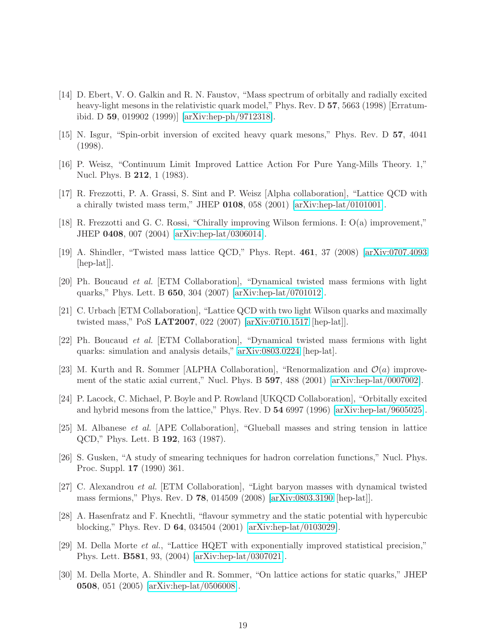- <span id="page-19-0"></span>[14] D. Ebert, V. O. Galkin and R. N. Faustov, "Mass spectrum of orbitally and radially excited heavy-light mesons in the relativistic quark model," Phys. Rev. D 57, 5663 (1998) [Erratumibid. D 59, 019902 (1999)] [\[arXiv:hep-ph/9712318\]](http://arXiv.org/abs/hep-ph/9712318).
- <span id="page-19-2"></span><span id="page-19-1"></span>[15] N. Isgur, "Spin-orbit inversion of excited heavy quark mesons," Phys. Rev. D 57, 4041 (1998).
- <span id="page-19-3"></span>[16] P. Weisz, "Continuum Limit Improved Lattice Action For Pure Yang-Mills Theory. 1," Nucl. Phys. B 212, 1 (1983).
- <span id="page-19-4"></span>[17] R. Frezzotti, P. A. Grassi, S. Sint and P. Weisz [Alpha collaboration], "Lattice QCD with a chirally twisted mass term," JHEP  $0108$ , 058 (2001) [\[arXiv:hep-lat/0101001\]](http://arXiv.org/abs/hep-lat/0101001).
- [18] R. Frezzotti and G. C. Rossi, "Chirally improving Wilson fermions. I: O(a) improvement," JHEP 0408, 007 (2004) [\[arXiv:hep-lat/0306014\]](http://arXiv.org/abs/hep-lat/0306014).
- <span id="page-19-5"></span>[19] A. Shindler, "Twisted mass lattice QCD," Phys. Rept. 461, 37 (2008) [\[arXiv:0707.4093](http://arXiv.org/abs/0707.4093) [hep-lat]].
- <span id="page-19-6"></span>[20] Ph. Boucaud et al. [ETM Collaboration], "Dynamical twisted mass fermions with light quarks," Phys. Lett. B 650, 304 (2007) [\[arXiv:hep-lat/0701012\]](http://arXiv.org/abs/hep-lat/0701012).
- <span id="page-19-8"></span><span id="page-19-7"></span>[21] C. Urbach [ETM Collaboration], "Lattice QCD with two light Wilson quarks and maximally twisted mass," PoS LAT2007, 022 (2007) [\[arXiv:0710.1517](http://arXiv.org/abs/0710.1517) [hep-lat]].
- <span id="page-19-9"></span>[22] Ph. Boucaud et al. [ETM Collaboration], "Dynamical twisted mass fermions with light quarks: simulation and analysis details," [arXiv:0803.0224](http://arXiv.org/abs/0803.0224) [hep-lat].
- <span id="page-19-10"></span>[23] M. Kurth and R. Sommer [ALPHA Collaboration], "Renormalization and  $\mathcal{O}(a)$  improvement of the static axial current," Nucl. Phys. B 597, 488 (2001) [\[arXiv:hep-lat/0007002\]](http://arXiv.org/abs/hep-lat/0007002).
- [24] P. Lacock, C. Michael, P. Boyle and P. Rowland [UKQCD Collaboration], "Orbitally excited and hybrid mesons from the lattice," Phys. Rev. D 54 6997 (1996) [\[arXiv:hep-lat/9605025\]](http://arXiv.org/abs/hep-lat/9605025).
- <span id="page-19-11"></span>[25] M. Albanese et al. [APE Collaboration], "Glueball masses and string tension in lattice QCD," Phys. Lett. B 192, 163 (1987).
- <span id="page-19-13"></span><span id="page-19-12"></span>[26] S. Gusken, "A study of smearing techniques for hadron correlation functions," Nucl. Phys. Proc. Suppl. 17 (1990) 361.
- [27] C. Alexandrou et al. [ETM Collaboration], "Light baryon masses with dynamical twisted mass fermions," Phys. Rev. D 78, 014509 (2008) [\[arXiv:0803.3190](http://arXiv.org/abs/0803.3190) [hep-lat]].
- <span id="page-19-14"></span>[28] A. Hasenfratz and F. Knechtli, "flavour symmetry and the static potential with hypercubic blocking," Phys. Rev. D 64, 034504 (2001) [\[arXiv:hep-lat/0103029\]](http://arXiv.org/abs/hep-lat/0103029).
- <span id="page-19-15"></span>[29] M. Della Morte et al., "Lattice HQET with exponentially improved statistical precision," Phys. Lett. B581, 93, (2004) [\[arXiv:hep-lat/0307021\]](http://arXiv.org/abs/hep-lat/0307021).
- <span id="page-19-16"></span>[30] M. Della Morte, A. Shindler and R. Sommer, "On lattice actions for static quarks," JHEP 0508, 051 (2005) [\[arXiv:hep-lat/0506008\]](http://arXiv.org/abs/hep-lat/0506008).